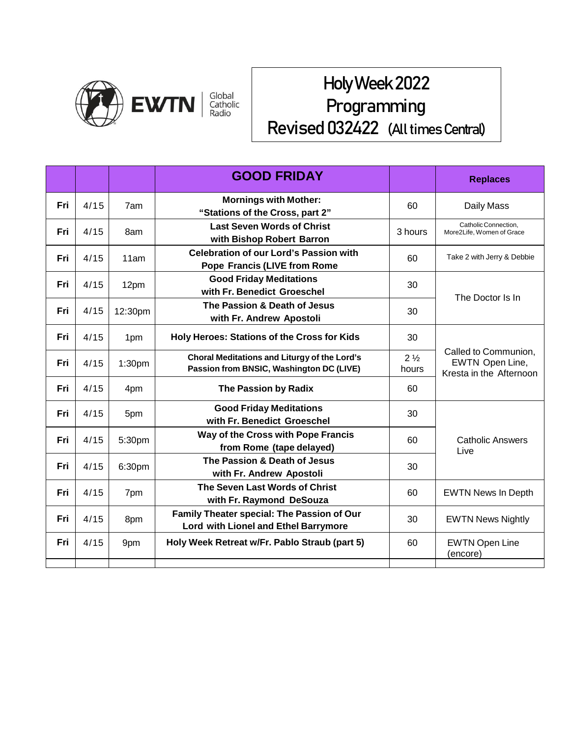

## Holy Week 2022 Programming Revised 032422 (All times Central)

|     |      |                    | <b>GOOD FRIDAY</b>                                                                       |                         | <b>Replaces</b>                                                    |
|-----|------|--------------------|------------------------------------------------------------------------------------------|-------------------------|--------------------------------------------------------------------|
| Fri | 4/15 | 7am                | <b>Mornings with Mother:</b><br>"Stations of the Cross, part 2"                          | 60                      | Daily Mass                                                         |
| Fri | 4/15 | 8am                | <b>Last Seven Words of Christ</b><br>with Bishop Robert Barron                           | 3 hours                 | Catholic Connection.<br>More2Life, Women of Grace                  |
| Fri | 4/15 | 11am               | <b>Celebration of our Lord's Passion with</b><br><b>Pope Francis (LIVE from Rome</b>     | 60                      | Take 2 with Jerry & Debbie                                         |
| Fri | 4/15 | 12pm               | <b>Good Friday Meditations</b><br>with Fr. Benedict Groeschel                            | 30                      | The Doctor Is In                                                   |
| Fri | 4/15 | 12:30pm            | The Passion & Death of Jesus<br>with Fr. Andrew Apostoli                                 | 30                      |                                                                    |
| Fri | 4/15 | 1pm                | Holy Heroes: Stations of the Cross for Kids                                              | 30                      | Called to Communion,<br>EWTN Open Line,<br>Kresta in the Afternoon |
| Fri | 4/15 | 1:30 <sub>pm</sub> | Choral Meditations and Liturgy of the Lord's<br>Passion from BNSIC, Washington DC (LIVE) | $2\frac{1}{2}$<br>hours |                                                                    |
| Fri | 4/15 | 4pm                | The Passion by Radix                                                                     | 60                      |                                                                    |
| Fri | 4/15 | 5pm                | <b>Good Friday Meditations</b><br>with Fr. Benedict Groeschel                            | 30                      |                                                                    |
| Fri | 4/15 | 5:30pm             | Way of the Cross with Pope Francis<br>from Rome (tape delayed)                           | 60                      | <b>Catholic Answers</b><br>Live                                    |
| Fri | 4/15 | 6:30pm             | The Passion & Death of Jesus<br>with Fr. Andrew Apostoli                                 | 30                      |                                                                    |
| Fri | 4/15 | 7pm                | The Seven Last Words of Christ<br>with Fr. Raymond DeSouza                               | 60                      | <b>EWTN News In Depth</b>                                          |
| Fri | 4/15 | 8pm                | Family Theater special: The Passion of Our<br>Lord with Lionel and Ethel Barrymore       | 30                      | <b>EWTN News Nightly</b>                                           |
| Fri | 4/15 | 9pm                | Holy Week Retreat w/Fr. Pablo Straub (part 5)                                            | 60                      | <b>EWTN Open Line</b><br>(encore)                                  |
|     |      |                    |                                                                                          |                         |                                                                    |